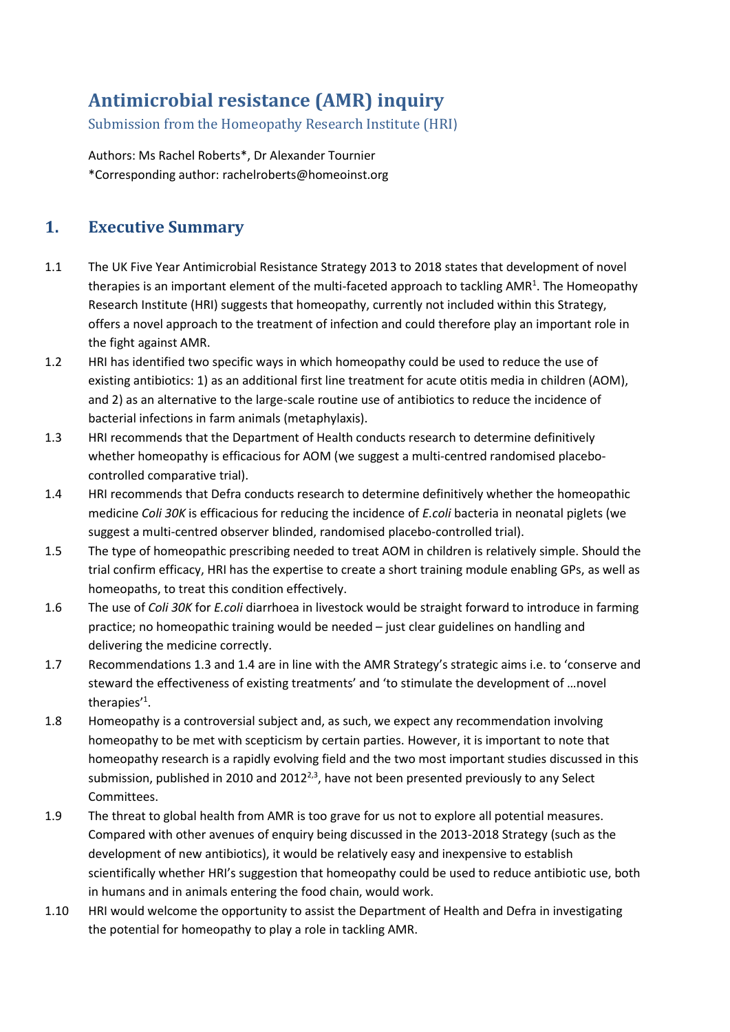# **Antimicrobial resistance (AMR) inquiry**

Submission from the Homeopathy Research Institute (HRI)

Authors: Ms Rachel Roberts\*, Dr Alexander Tournier \*Corresponding author: rachelroberts@homeoinst.org

# **1. Executive Summary**

- 1.1 The UK Five Year Antimicrobial Resistance Strategy 2013 to 2018 states that development of novel therapies is an important element of the multi-faceted approach to tackling AMR<sup>1</sup>. The Homeopathy Research Institute (HRI) suggests that homeopathy, currently not included within this Strategy, offers a novel approach to the treatment of infection and could therefore play an important role in the fight against AMR.
- 1.2 HRI has identified two specific ways in which homeopathy could be used to reduce the use of existing antibiotics: 1) as an additional first line treatment for acute otitis media in children (AOM), and 2) as an alternative to the large-scale routine use of antibiotics to reduce the incidence of bacterial infections in farm animals (metaphylaxis).
- 1.3 HRI recommends that the Department of Health conducts research to determine definitively whether homeopathy is efficacious for AOM (we suggest a multi-centred randomised placebocontrolled comparative trial).
- 1.4 HRI recommends that Defra conducts research to determine definitively whether the homeopathic medicine *Coli 30K* is efficacious for reducing the incidence of *E.coli* bacteria in neonatal piglets (we suggest a multi-centred observer blinded, randomised placebo-controlled trial).
- 1.5 The type of homeopathic prescribing needed to treat AOM in children is relatively simple. Should the trial confirm efficacy, HRI has the expertise to create a short training module enabling GPs, as well as homeopaths, to treat this condition effectively.
- 1.6 The use of *Coli 30K* for *E.coli* diarrhoea in livestock would be straight forward to introduce in farming practice; no homeopathic training would be needed – just clear guidelines on handling and delivering the medicine correctly.
- 1.7 Recommendations 1.3 and 1.4 are in line with the AMR Strategy's strategic aims i.e. to 'conserve and steward the effectiveness of existing treatments' and 'to stimulate the development of …novel therapies'<sup>1</sup> .
- 1.8 Homeopathy is a controversial subject and, as such, we expect any recommendation involving homeopathy to be met with scepticism by certain parties. However, it is important to note that homeopathy research is a rapidly evolving field and the two most important studies discussed in this submission, published in 2010 and 2012 $^{2,3}$ , have not been presented previously to any Select Committees.
- 1.9 The threat to global health from AMR is too grave for us not to explore all potential measures. Compared with other avenues of enquiry being discussed in the 2013-2018 Strategy (such as the development of new antibiotics), it would be relatively easy and inexpensive to establish scientifically whether HRI's suggestion that homeopathy could be used to reduce antibiotic use, both in humans and in animals entering the food chain, would work.
- 1.10 HRI would welcome the opportunity to assist the Department of Health and Defra in investigating the potential for homeopathy to play a role in tackling AMR.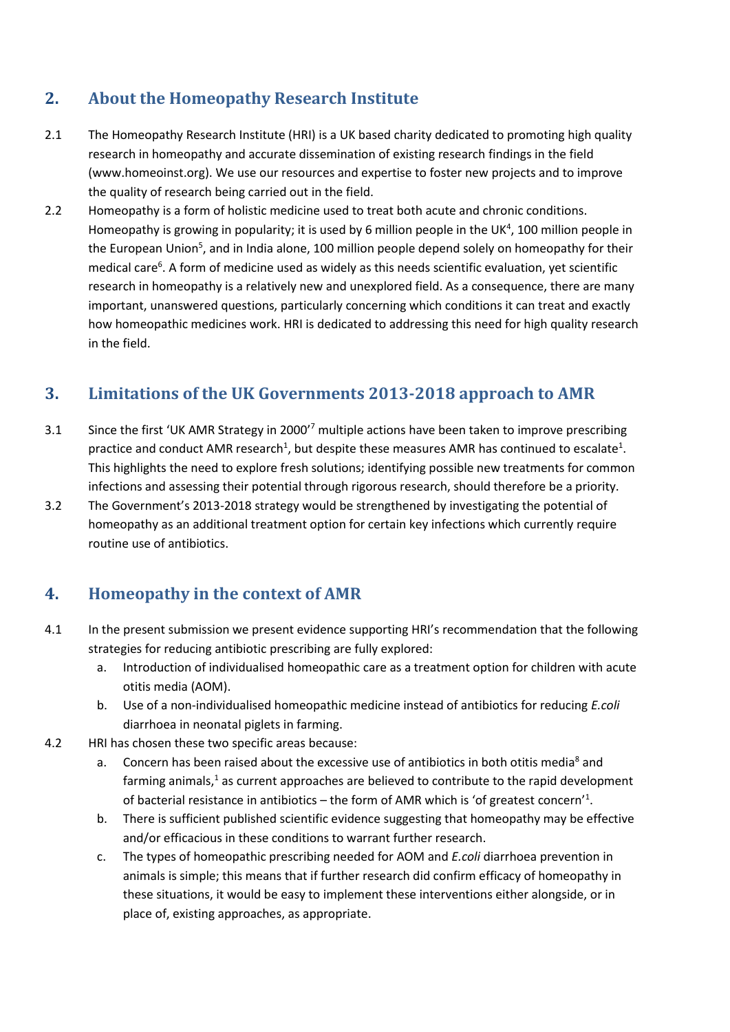# **2. About the Homeopathy Research Institute**

- 2.1 The Homeopathy Research Institute (HRI) is a UK based charity dedicated to promoting high quality research in homeopathy and accurate dissemination of existing research findings in the field (www.homeoinst.org). We use our resources and expertise to foster new projects and to improve the quality of research being carried out in the field.
- 2.2 Homeopathy is a form of holistic medicine used to treat both acute and chronic conditions. Homeopathy is growing in popularity; it is used by 6 million people in the UK<sup>4</sup>, 100 million people in the European Union<sup>5</sup>, and in India alone, 100 million people depend solely on homeopathy for their medical care<sup>6</sup>. A form of medicine used as widely as this needs scientific evaluation, yet scientific research in homeopathy is a relatively new and unexplored field. As a consequence, there are many important, unanswered questions, particularly concerning which conditions it can treat and exactly how homeopathic medicines work. HRI is dedicated to addressing this need for high quality research in the field.

### **3. Limitations of the UK Governments 2013-2018 approach to AMR**

- 3.1 Since the first 'UK AMR Strategy in 2000'<sup>7</sup> multiple actions have been taken to improve prescribing practice and conduct AMR research<sup>1</sup>, but despite these measures AMR has continued to escalate<sup>1</sup>. This highlights the need to explore fresh solutions; identifying possible new treatments for common infections and assessing their potential through rigorous research, should therefore be a priority.
- 3.2 The Government's 2013-2018 strategy would be strengthened by investigating the potential of homeopathy as an additional treatment option for certain key infections which currently require routine use of antibiotics.

# **4. Homeopathy in the context of AMR**

- 4.1 In the present submission we present evidence supporting HRI's recommendation that the following strategies for reducing antibiotic prescribing are fully explored:
	- a. Introduction of individualised homeopathic care as a treatment option for children with acute otitis media (AOM).
	- b. Use of a non-individualised homeopathic medicine instead of antibiotics for reducing *E.coli* diarrhoea in neonatal piglets in farming.
- 4.2 HRI has chosen these two specific areas because:
	- a. Concern has been raised about the excessive use of antibiotics in both otitis media<sup>8</sup> and farming animals,<sup>1</sup> as current approaches are believed to contribute to the rapid development of bacterial resistance in antibiotics – the form of AMR which is 'of greatest concern'<sup>1</sup>.
	- b. There is sufficient published scientific evidence suggesting that homeopathy may be effective and/or efficacious in these conditions to warrant further research.
	- c. The types of homeopathic prescribing needed for AOM and *E.coli* diarrhoea prevention in animals is simple; this means that if further research did confirm efficacy of homeopathy in these situations, it would be easy to implement these interventions either alongside, or in place of, existing approaches, as appropriate.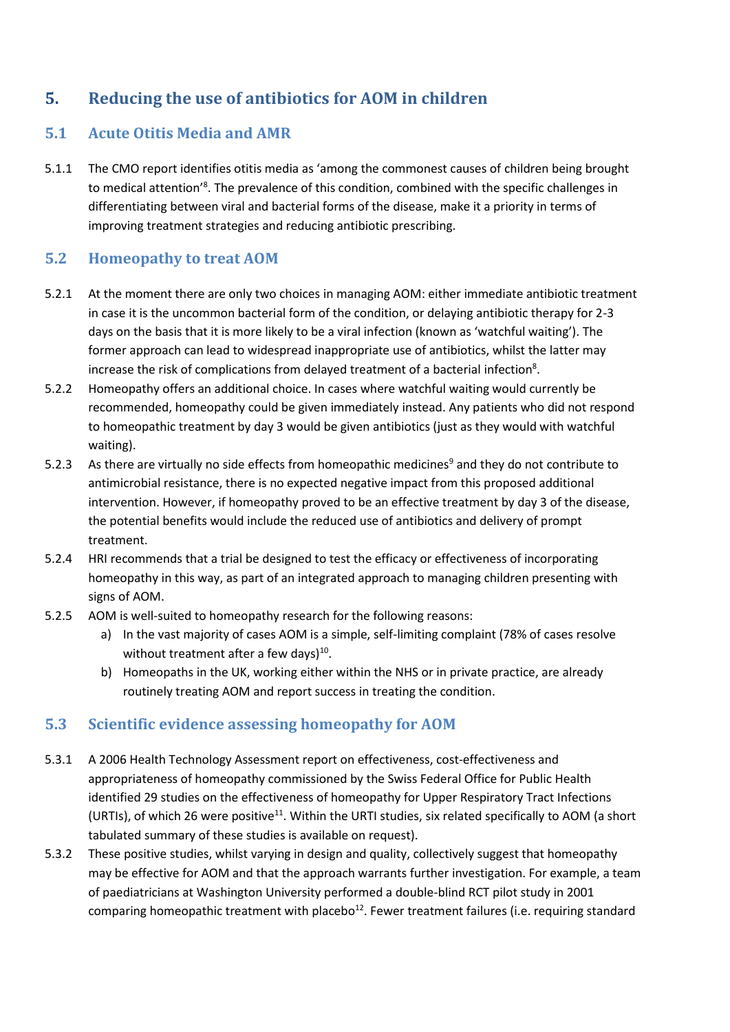# **5. Reducing the use of antibiotics for AOM in children**

#### **5.1 Acute Otitis Media and AMR**

5.1.1 The CMO report identifies otitis media as 'among the commonest causes of children being brought to medical attention<sup>'8</sup>. The prevalence of this condition, combined with the specific challenges in differentiating between viral and bacterial forms of the disease, make it a priority in terms of improving treatment strategies and reducing antibiotic prescribing.

#### **5.2 Homeopathy to treat AOM**

- 5.2.1 At the moment there are only two choices in managing AOM: either immediate antibiotic treatment in case it is the uncommon bacterial form of the condition, or delaying antibiotic therapy for 2-3 days on the basis that it is more likely to be a viral infection (known as 'watchful waiting'). The former approach can lead to widespread inappropriate use of antibiotics, whilst the latter may increase the risk of complications from delayed treatment of a bacterial infection<sup>8</sup>.
- 5.2.2 Homeopathy offers an additional choice. In cases where watchful waiting would currently be recommended, homeopathy could be given immediately instead. Any patients who did not respond to homeopathic treatment by day 3 would be given antibiotics (just as they would with watchful waiting).
- 5.2.3 As there are virtually no side effects from homeopathic medicines<sup>9</sup> and they do not contribute to antimicrobial resistance, there is no expected negative impact from this proposed additional intervention. However, if homeopathy proved to be an effective treatment by day 3 of the disease, the potential benefits would include the reduced use of antibiotics and delivery of prompt treatment.
- 5.2.4 HRI recommends that a trial be designed to test the efficacy or effectiveness of incorporating homeopathy in this way, as part of an integrated approach to managing children presenting with signs of AOM.
- 5.2.5 AOM is well-suited to homeopathy research for the following reasons:
	- a) In the vast majority of cases AOM is a simple, self-limiting complaint (78% of cases resolve without treatment after a few days) $^{10}$ .
	- b) Homeopaths in the UK, working either within the NHS or in private practice, are already routinely treating AOM and report success in treating the condition.

#### **5.3 Scientific evidence assessing homeopathy for AOM**

- 5.3.1 A 2006 Health Technology Assessment report on effectiveness, cost-effectiveness and appropriateness of homeopathy commissioned by the Swiss Federal Office for Public Health identified 29 studies on the effectiveness of homeopathy for Upper Respiratory Tract Infections (URTIs), of which 26 were positive<sup>11</sup>. Within the URTI studies, six related specifically to AOM (a short tabulated summary of these studies is available on request).
- 5.3.2 These positive studies, whilst varying in design and quality, collectively suggest that homeopathy may be effective for AOM and that the approach warrants further investigation. For example, a team of paediatricians at Washington University performed a double-blind RCT pilot study in 2001 comparing homeopathic treatment with placebo<sup>12</sup>. Fewer treatment failures (i.e. requiring standard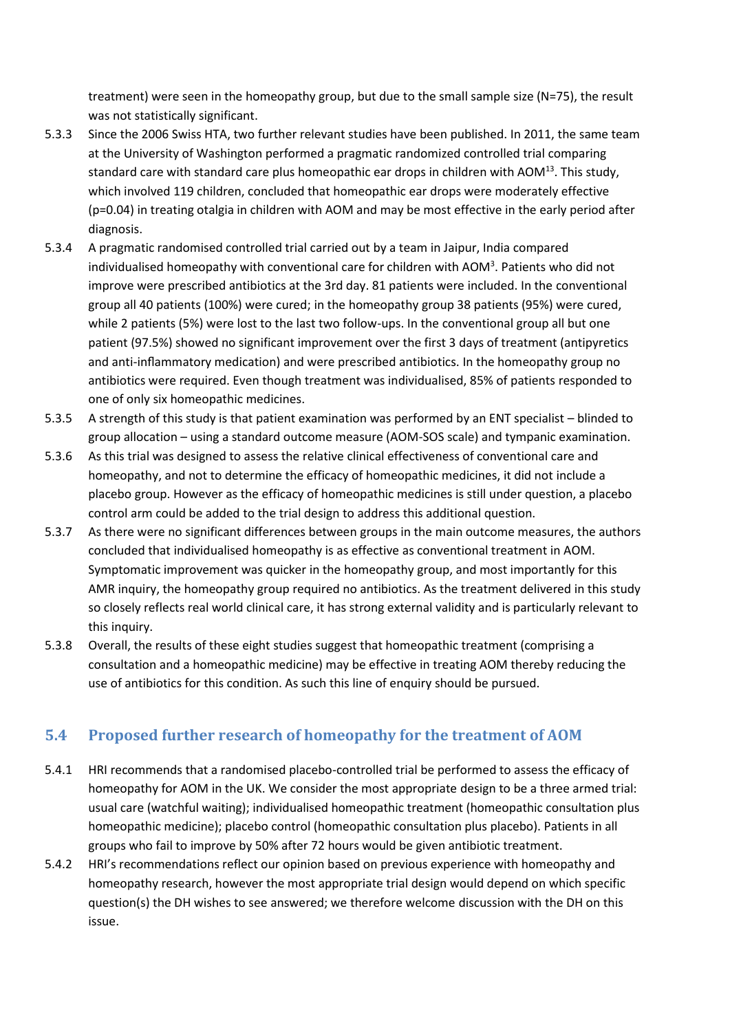treatment) were seen in the homeopathy group, but due to the small sample size (N=75), the result was not statistically significant.

- 5.3.3 Since the 2006 Swiss HTA, two further relevant studies have been published. In 2011, the same team at the University of Washington performed a pragmatic randomized controlled trial comparing standard care with standard care plus homeopathic ear drops in children with AOM $^{13}$ . This study, which involved 119 children, concluded that homeopathic ear drops were moderately effective (p=0.04) in treating otalgia in children with AOM and may be most effective in the early period after diagnosis.
- 5.3.4 A pragmatic randomised controlled trial carried out by a team in Jaipur, India compared individualised homeopathy with conventional care for children with AOM<sup>3</sup>. Patients who did not improve were prescribed antibiotics at the 3rd day. 81 patients were included. In the conventional group all 40 patients (100%) were cured; in the homeopathy group 38 patients (95%) were cured, while 2 patients (5%) were lost to the last two follow-ups. In the conventional group all but one patient (97.5%) showed no significant improvement over the first 3 days of treatment (antipyretics and anti-inflammatory medication) and were prescribed antibiotics. In the homeopathy group no antibiotics were required. Even though treatment was individualised, 85% of patients responded to one of only six homeopathic medicines.
- 5.3.5 A strength of this study is that patient examination was performed by an ENT specialist blinded to group allocation – using a standard outcome measure (AOM-SOS scale) and tympanic examination.
- 5.3.6 As this trial was designed to assess the relative clinical effectiveness of conventional care and homeopathy, and not to determine the efficacy of homeopathic medicines, it did not include a placebo group. However as the efficacy of homeopathic medicines is still under question, a placebo control arm could be added to the trial design to address this additional question.
- 5.3.7 As there were no significant differences between groups in the main outcome measures, the authors concluded that individualised homeopathy is as effective as conventional treatment in AOM. Symptomatic improvement was quicker in the homeopathy group, and most importantly for this AMR inquiry, the homeopathy group required no antibiotics. As the treatment delivered in this study so closely reflects real world clinical care, it has strong external validity and is particularly relevant to this inquiry.
- 5.3.8 Overall, the results of these eight studies suggest that homeopathic treatment (comprising a consultation and a homeopathic medicine) may be effective in treating AOM thereby reducing the use of antibiotics for this condition. As such this line of enquiry should be pursued.

#### **5.4 Proposed further research of homeopathy for the treatment of AOM**

- 5.4.1 HRI recommends that a randomised placebo-controlled trial be performed to assess the efficacy of homeopathy for AOM in the UK. We consider the most appropriate design to be a three armed trial: usual care (watchful waiting); individualised homeopathic treatment (homeopathic consultation plus homeopathic medicine); placebo control (homeopathic consultation plus placebo). Patients in all groups who fail to improve by 50% after 72 hours would be given antibiotic treatment.
- 5.4.2 HRI's recommendations reflect our opinion based on previous experience with homeopathy and homeopathy research, however the most appropriate trial design would depend on which specific question(s) the DH wishes to see answered; we therefore welcome discussion with the DH on this issue.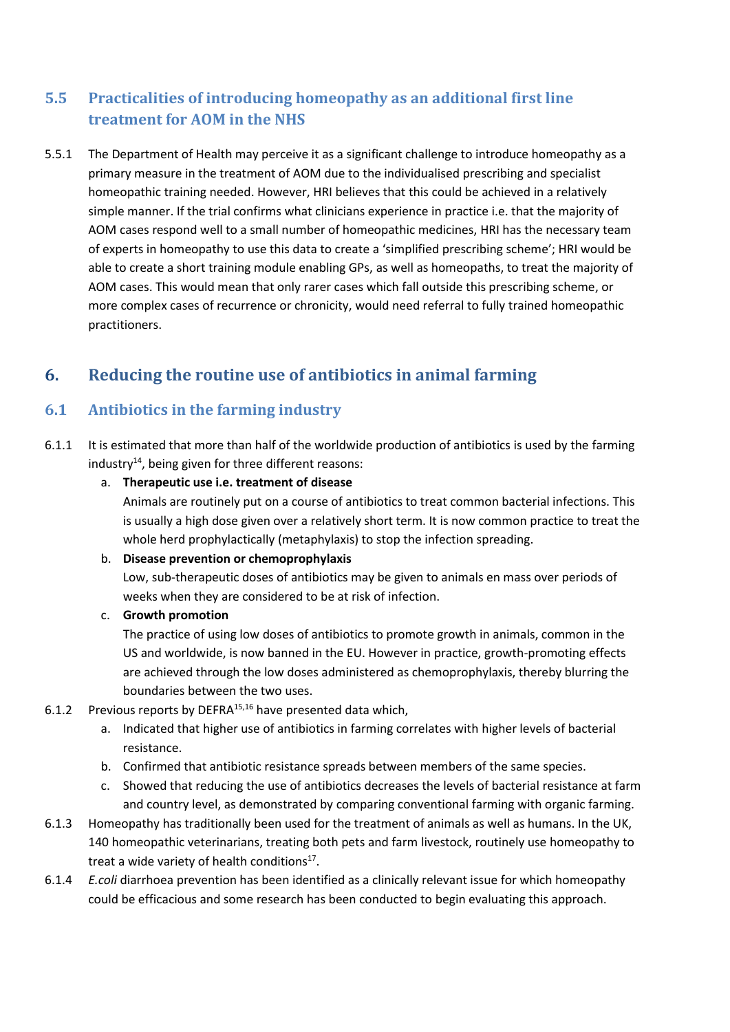### **5.5 Practicalities of introducing homeopathy as an additional first line treatment for AOM in the NHS**

5.5.1 The Department of Health may perceive it as a significant challenge to introduce homeopathy as a primary measure in the treatment of AOM due to the individualised prescribing and specialist homeopathic training needed. However, HRI believes that this could be achieved in a relatively simple manner. If the trial confirms what clinicians experience in practice i.e. that the majority of AOM cases respond well to a small number of homeopathic medicines, HRI has the necessary team of experts in homeopathy to use this data to create a 'simplified prescribing scheme'; HRI would be able to create a short training module enabling GPs, as well as homeopaths, to treat the majority of AOM cases. This would mean that only rarer cases which fall outside this prescribing scheme, or more complex cases of recurrence or chronicity, would need referral to fully trained homeopathic practitioners.

# **6. Reducing the routine use of antibiotics in animal farming**

#### **6.1 Antibiotics in the farming industry**

- 6.1.1 It is estimated that more than half of the worldwide production of antibiotics is used by the farming industry<sup>14</sup>, being given for three different reasons:
	- a. **Therapeutic use i.e. treatment of disease**

Animals are routinely put on a course of antibiotics to treat common bacterial infections. This is usually a high dose given over a relatively short term. It is now common practice to treat the whole herd prophylactically (metaphylaxis) to stop the infection spreading.

#### b. **Disease prevention or chemoprophylaxis**

Low, sub-therapeutic doses of antibiotics may be given to animals en mass over periods of weeks when they are considered to be at risk of infection.

#### c. **Growth promotion**

The practice of using low doses of antibiotics to promote growth in animals, common in the US and worldwide, is now banned in the EU. However in practice, growth-promoting effects are achieved through the low doses administered as chemoprophylaxis, thereby blurring the boundaries between the two uses.

- 6.1.2 Previous reports by DEFRA15,16 have presented data which,
	- a. Indicated that higher use of antibiotics in farming correlates with higher levels of bacterial resistance.
	- b. Confirmed that antibiotic resistance spreads between members of the same species.
	- c. Showed that reducing the use of antibiotics decreases the levels of bacterial resistance at farm and country level, as demonstrated by comparing conventional farming with organic farming.
- 6.1.3 Homeopathy has traditionally been used for the treatment of animals as well as humans. In the UK, 140 homeopathic veterinarians, treating both pets and farm livestock, routinely use homeopathy to treat a wide variety of health conditions<sup>17</sup>.
- 6.1.4 *E.coli* diarrhoea prevention has been identified as a clinically relevant issue for which homeopathy could be efficacious and some research has been conducted to begin evaluating this approach.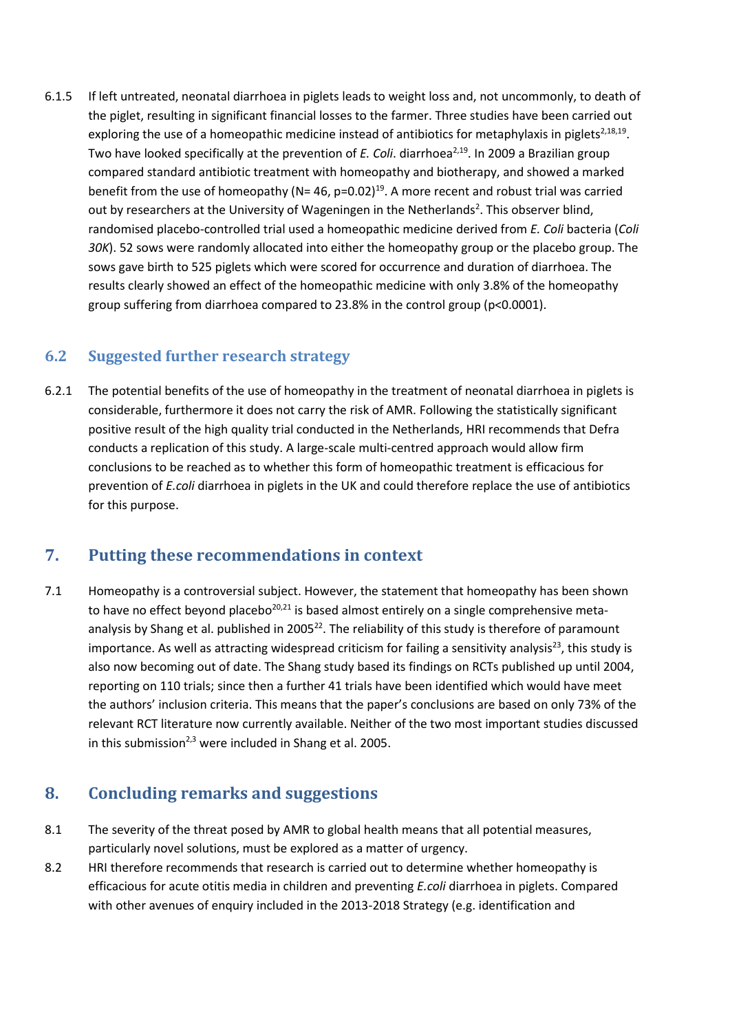6.1.5 If left untreated, neonatal diarrhoea in piglets leads to weight loss and, not uncommonly, to death of the piglet, resulting in significant financial losses to the farmer. Three studies have been carried out exploring the use of a homeopathic medicine instead of antibiotics for metaphylaxis in piglets<sup>2,18,19</sup>. Two have looked specifically at the prevention of *E. Coli*. diarrhoea<sup>2,19</sup>. In 2009 a Brazilian group compared standard antibiotic treatment with homeopathy and biotherapy, and showed a marked benefit from the use of homeopathy (N= 46, p=0.02)<sup>19</sup>. A more recent and robust trial was carried out by researchers at the University of Wageningen in the Netherlands<sup>2</sup>. This observer blind, randomised placebo-controlled trial used a homeopathic medicine derived from *E. Coli* bacteria (*Coli 30K*). 52 sows were randomly allocated into either the homeopathy group or the placebo group. The sows gave birth to 525 piglets which were scored for occurrence and duration of diarrhoea. The results clearly showed an effect of the homeopathic medicine with only 3.8% of the homeopathy group suffering from diarrhoea compared to 23.8% in the control group (p<0.0001).

#### **6.2 Suggested further research strategy**

6.2.1 The potential benefits of the use of homeopathy in the treatment of neonatal diarrhoea in piglets is considerable, furthermore it does not carry the risk of AMR. Following the statistically significant positive result of the high quality trial conducted in the Netherlands, HRI recommends that Defra conducts a replication of this study. A large-scale multi-centred approach would allow firm conclusions to be reached as to whether this form of homeopathic treatment is efficacious for prevention of *E.coli* diarrhoea in piglets in the UK and could therefore replace the use of antibiotics for this purpose.

#### **7. Putting these recommendations in context**

7.1 Homeopathy is a controversial subject. However, the statement that homeopathy has been shown to have no effect beyond placebo<sup>20,21</sup> is based almost entirely on a single comprehensive metaanalysis by Shang et al. published in 2005<sup>22</sup>. The reliability of this study is therefore of paramount importance. As well as attracting widespread criticism for failing a sensitivity analysis<sup>23</sup>, this study is also now becoming out of date. The Shang study based its findings on RCTs published up until 2004, reporting on 110 trials; since then a further 41 trials have been identified which would have meet the authors' inclusion criteria. This means that the paper's conclusions are based on only 73% of the relevant RCT literature now currently available. Neither of the two most important studies discussed in this submission<sup>2,3</sup> were included in Shang et al. 2005.

### **8. Concluding remarks and suggestions**

- 8.1 The severity of the threat posed by AMR to global health means that all potential measures, particularly novel solutions, must be explored as a matter of urgency.
- 8.2 HRI therefore recommends that research is carried out to determine whether homeopathy is efficacious for acute otitis media in children and preventing *E.coli* diarrhoea in piglets. Compared with other avenues of enquiry included in the 2013-2018 Strategy (e.g. identification and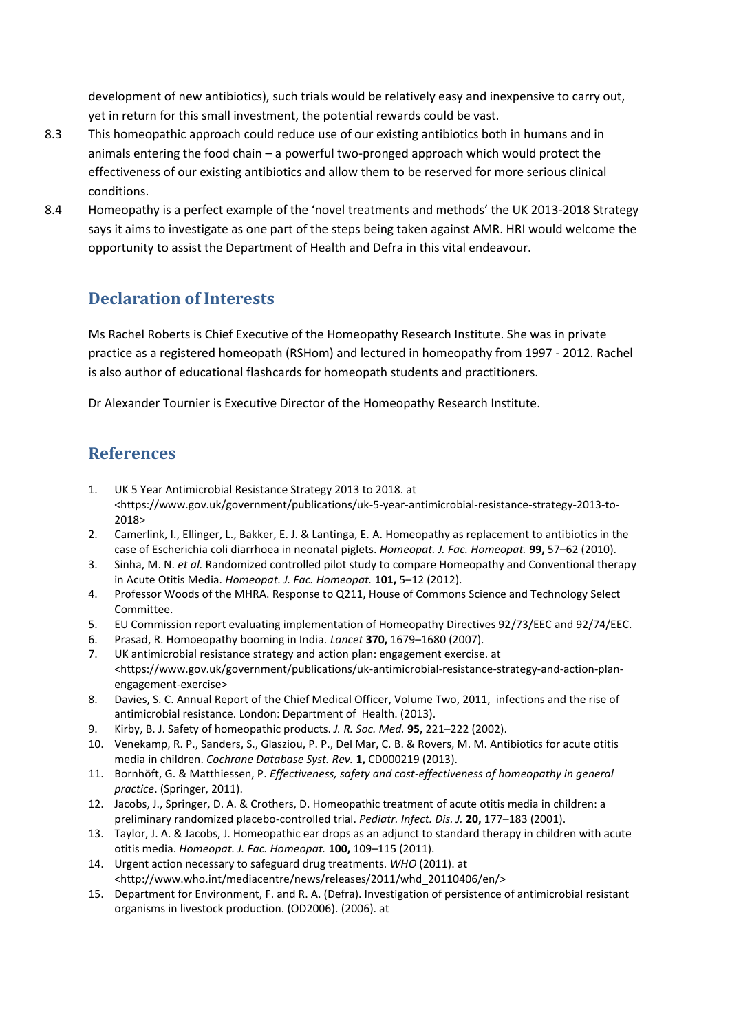development of new antibiotics), such trials would be relatively easy and inexpensive to carry out, yet in return for this small investment, the potential rewards could be vast.

- 8.3 This homeopathic approach could reduce use of our existing antibiotics both in humans and in animals entering the food chain – a powerful two-pronged approach which would protect the effectiveness of our existing antibiotics and allow them to be reserved for more serious clinical conditions.
- 8.4 Homeopathy is a perfect example of the 'novel treatments and methods' the UK 2013-2018 Strategy says it aims to investigate as one part of the steps being taken against AMR. HRI would welcome the opportunity to assist the Department of Health and Defra in this vital endeavour.

### **Declaration of Interests**

Ms Rachel Roberts is Chief Executive of the Homeopathy Research Institute. She was in private practice as a registered homeopath (RSHom) and lectured in homeopathy from 1997 - 2012. Rachel is also author of educational flashcards for homeopath students and practitioners.

Dr Alexander Tournier is Executive Director of the Homeopathy Research Institute.

#### **References**

- 1. UK 5 Year Antimicrobial Resistance Strategy 2013 to 2018. at <https://www.gov.uk/government/publications/uk-5-year-antimicrobial-resistance-strategy-2013-to-2018>
- 2. Camerlink, I., Ellinger, L., Bakker, E. J. & Lantinga, E. A. Homeopathy as replacement to antibiotics in the case of Escherichia coli diarrhoea in neonatal piglets. *Homeopat. J. Fac. Homeopat.* **99,** 57–62 (2010).
- 3. Sinha, M. N. *et al.* Randomized controlled pilot study to compare Homeopathy and Conventional therapy in Acute Otitis Media. *Homeopat. J. Fac. Homeopat.* **101,** 5–12 (2012).
- 4. Professor Woods of the MHRA. Response to Q211, House of Commons Science and Technology Select Committee.
- 5. EU Commission report evaluating implementation of Homeopathy Directives 92/73/EEC and 92/74/EEC.
- 6. Prasad, R. Homoeopathy booming in India. *Lancet* **370,** 1679–1680 (2007).
- 7. UK antimicrobial resistance strategy and action plan: engagement exercise. at <https://www.gov.uk/government/publications/uk-antimicrobial-resistance-strategy-and-action-planengagement-exercise>
- 8. Davies, S. C. Annual Report of the Chief Medical Officer, Volume Two, 2011, infections and the rise of antimicrobial resistance. London: Department of Health. (2013).
- 9. Kirby, B. J. Safety of homeopathic products. *J. R. Soc. Med.* **95,** 221–222 (2002).
- 10. Venekamp, R. P., Sanders, S., Glasziou, P. P., Del Mar, C. B. & Rovers, M. M. Antibiotics for acute otitis media in children. *Cochrane Database Syst. Rev.* **1,** CD000219 (2013).
- 11. Bornhöft, G. & Matthiessen, P. *Effectiveness, safety and cost-effectiveness of homeopathy in general practice*. (Springer, 2011).
- 12. Jacobs, J., Springer, D. A. & Crothers, D. Homeopathic treatment of acute otitis media in children: a preliminary randomized placebo-controlled trial. *Pediatr. Infect. Dis. J.* **20,** 177–183 (2001).
- 13. Taylor, J. A. & Jacobs, J. Homeopathic ear drops as an adjunct to standard therapy in children with acute otitis media. *Homeopat. J. Fac. Homeopat.* **100,** 109–115 (2011).
- 14. Urgent action necessary to safeguard drug treatments. *WHO* (2011). at <http://www.who.int/mediacentre/news/releases/2011/whd\_20110406/en/>
- 15. Department for Environment, F. and R. A. (Defra). Investigation of persistence of antimicrobial resistant organisms in livestock production. (OD2006). (2006). at